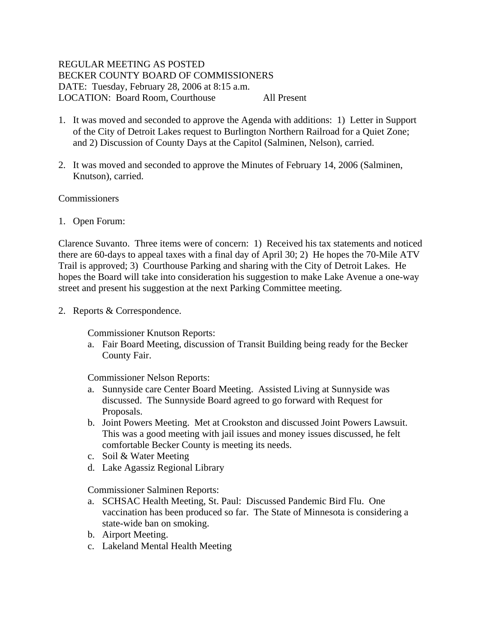# REGULAR MEETING AS POSTED BECKER COUNTY BOARD OF COMMISSIONERS DATE: Tuesday, February 28, 2006 at 8:15 a.m. LOCATION: Board Room, Courthouse All Present

- 1. It was moved and seconded to approve the Agenda with additions: 1) Letter in Support of the City of Detroit Lakes request to Burlington Northern Railroad for a Quiet Zone; and 2) Discussion of County Days at the Capitol (Salminen, Nelson), carried.
- 2. It was moved and seconded to approve the Minutes of February 14, 2006 (Salminen, Knutson), carried.

## Commissioners

1. Open Forum:

Clarence Suvanto. Three items were of concern: 1) Received his tax statements and noticed there are 60-days to appeal taxes with a final day of April 30; 2) He hopes the 70-Mile ATV Trail is approved; 3) Courthouse Parking and sharing with the City of Detroit Lakes. He hopes the Board will take into consideration his suggestion to make Lake Avenue a one-way street and present his suggestion at the next Parking Committee meeting.

2. Reports & Correspondence.

Commissioner Knutson Reports:

a. Fair Board Meeting, discussion of Transit Building being ready for the Becker County Fair.

Commissioner Nelson Reports:

- a. Sunnyside care Center Board Meeting. Assisted Living at Sunnyside was discussed. The Sunnyside Board agreed to go forward with Request for Proposals.
- b. Joint Powers Meeting. Met at Crookston and discussed Joint Powers Lawsuit. This was a good meeting with jail issues and money issues discussed, he felt comfortable Becker County is meeting its needs.
- c. Soil & Water Meeting
- d. Lake Agassiz Regional Library

Commissioner Salminen Reports:

- a. SCHSAC Health Meeting, St. Paul: Discussed Pandemic Bird Flu. One vaccination has been produced so far. The State of Minnesota is considering a state-wide ban on smoking.
- b. Airport Meeting.
- c. Lakeland Mental Health Meeting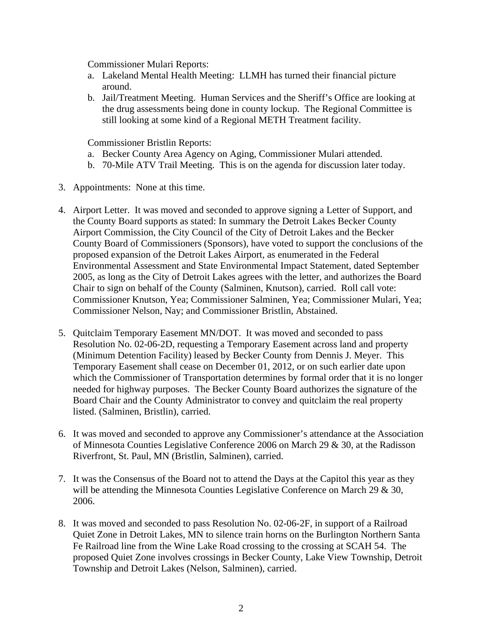Commissioner Mulari Reports:

- a. Lakeland Mental Health Meeting: LLMH has turned their financial picture around.
- b. Jail/Treatment Meeting. Human Services and the Sheriff's Office are looking at the drug assessments being done in county lockup. The Regional Committee is still looking at some kind of a Regional METH Treatment facility.

Commissioner Bristlin Reports:

- a. Becker County Area Agency on Aging, Commissioner Mulari attended.
- b. 70-Mile ATV Trail Meeting. This is on the agenda for discussion later today.
- 3. Appointments: None at this time.
- 4. Airport Letter. It was moved and seconded to approve signing a Letter of Support, and the County Board supports as stated: In summary the Detroit Lakes Becker County Airport Commission, the City Council of the City of Detroit Lakes and the Becker County Board of Commissioners (Sponsors), have voted to support the conclusions of the proposed expansion of the Detroit Lakes Airport, as enumerated in the Federal Environmental Assessment and State Environmental Impact Statement, dated September 2005, as long as the City of Detroit Lakes agrees with the letter, and authorizes the Board Chair to sign on behalf of the County (Salminen, Knutson), carried. Roll call vote: Commissioner Knutson, Yea; Commissioner Salminen, Yea; Commissioner Mulari, Yea; Commissioner Nelson, Nay; and Commissioner Bristlin, Abstained.
- 5. Quitclaim Temporary Easement MN/DOT. It was moved and seconded to pass Resolution No. 02-06-2D, requesting a Temporary Easement across land and property (Minimum Detention Facility) leased by Becker County from Dennis J. Meyer. This Temporary Easement shall cease on December 01, 2012, or on such earlier date upon which the Commissioner of Transportation determines by formal order that it is no longer needed for highway purposes. The Becker County Board authorizes the signature of the Board Chair and the County Administrator to convey and quitclaim the real property listed. (Salminen, Bristlin), carried.
- 6. It was moved and seconded to approve any Commissioner's attendance at the Association of Minnesota Counties Legislative Conference 2006 on March 29 & 30, at the Radisson Riverfront, St. Paul, MN (Bristlin, Salminen), carried.
- 7. It was the Consensus of the Board not to attend the Days at the Capitol this year as they will be attending the Minnesota Counties Legislative Conference on March 29 & 30, 2006.
- 8. It was moved and seconded to pass Resolution No. 02-06-2F, in support of a Railroad Quiet Zone in Detroit Lakes, MN to silence train horns on the Burlington Northern Santa Fe Railroad line from the Wine Lake Road crossing to the crossing at SCAH 54. The proposed Quiet Zone involves crossings in Becker County, Lake View Township, Detroit Township and Detroit Lakes (Nelson, Salminen), carried.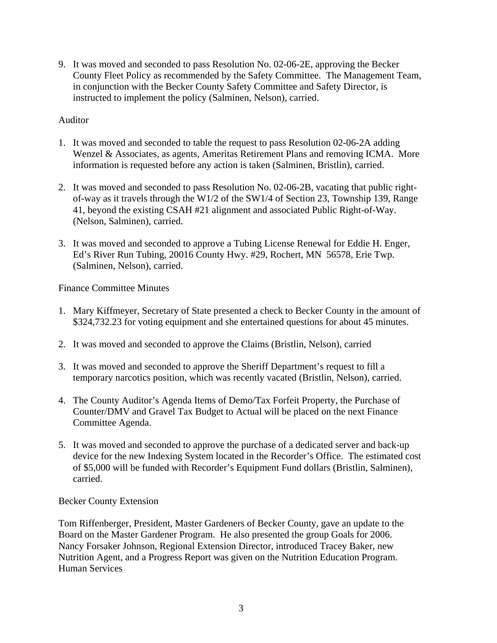9. It was moved and seconded to pass Resolution No. 02-06-2E, approving the Becker County Fleet Policy as recommended by the Safety Committee. The Management Team, in conjunction with the Becker County Safety Committee and Safety Director, is instructed to implement the policy (Salminen, Nelson), carried.

## Auditor

- 1. It was moved and seconded to table the request to pass Resolution 02-06-2A adding Wenzel & Associates, as agents, Ameritas Retirement Plans and removing ICMA. More information is requested before any action is taken (Salminen, Bristlin), carried.
- 2. It was moved and seconded to pass Resolution No. 02-06-2B, vacating that public rightof-way as it travels through the W1/2 of the SW1/4 of Section 23, Township 139, Range 41, beyond the existing CSAH #21 alignment and associated Public Right-of-Way. (Nelson, Salminen), carried.
- 3. It was moved and seconded to approve a Tubing License Renewal for Eddie H. Enger, Ed's River Run Tubing, 20016 County Hwy. #29, Rochert, MN 56578, Erie Twp. (Salminen, Nelson), carried.

## Finance Committee Minutes

- 1. Mary Kiffmeyer, Secretary of State presented a check to Becker County in the amount of \$324,732.23 for voting equipment and she entertained questions for about 45 minutes.
- 2. It was moved and seconded to approve the Claims (Bristlin, Nelson), carried
- 3. It was moved and seconded to approve the Sheriff Department's request to fill a temporary narcotics position, which was recently vacated (Bristlin, Nelson), carried.
- 4. The County Auditor's Agenda Items of Demo/Tax Forfeit Property, the Purchase of Counter/DMV and Gravel Tax Budget to Actual will be placed on the next Finance Committee Agenda.
- 5. It was moved and seconded to approve the purchase of a dedicated server and back-up device for the new Indexing System located in the Recorder's Office. The estimated cost of \$5,000 will be funded with Recorder's Equipment Fund dollars (Bristlin, Salminen), carried.

#### Becker County Extension

Tom Riffenberger, President, Master Gardeners of Becker County, gave an update to the Board on the Master Gardener Program. He also presented the group Goals for 2006. Nancy Forsaker Johnson, Regional Extension Director, introduced Tracey Baker, new Nutrition Agent, and a Progress Report was given on the Nutrition Education Program. Human Services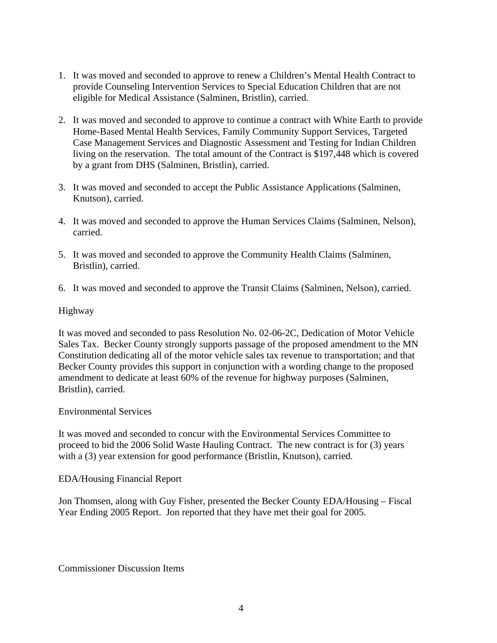- 1. It was moved and seconded to approve to renew a Children's Mental Health Contract to provide Counseling Intervention Services to Special Education Children that are not eligible for Medical Assistance (Salminen, Bristlin), carried.
- 2. It was moved and seconded to approve to continue a contract with White Earth to provide Home-Based Mental Health Services, Family Community Support Services, Targeted Case Management Services and Diagnostic Assessment and Testing for Indian Children living on the reservation. The total amount of the Contract is \$197,448 which is covered by a grant from DHS (Salminen, Bristlin), carried.
- 3. It was moved and seconded to accept the Public Assistance Applications (Salminen, Knutson), carried.
- 4. It was moved and seconded to approve the Human Services Claims (Salminen, Nelson), carried.
- 5. It was moved and seconded to approve the Community Health Claims (Salminen, Bristlin), carried.
- 6. It was moved and seconded to approve the Transit Claims (Salminen, Nelson), carried.

## Highway

It was moved and seconded to pass Resolution No. 02-06-2C, Dedication of Motor Vehicle Sales Tax. Becker County strongly supports passage of the proposed amendment to the MN Constitution dedicating all of the motor vehicle sales tax revenue to transportation; and that Becker County provides this support in conjunction with a wording change to the proposed amendment to dedicate at least 60% of the revenue for highway purposes (Salminen, Bristlin), carried.

#### Environmental Services

It was moved and seconded to concur with the Environmental Services Committee to proceed to bid the 2006 Solid Waste Hauling Contract. The new contract is for (3) years with a (3) year extension for good performance (Bristlin, Knutson), carried.

#### EDA/Housing Financial Report

Jon Thomsen, along with Guy Fisher, presented the Becker County EDA/Housing – Fiscal Year Ending 2005 Report. Jon reported that they have met their goal for 2005.

Commissioner Discussion Items